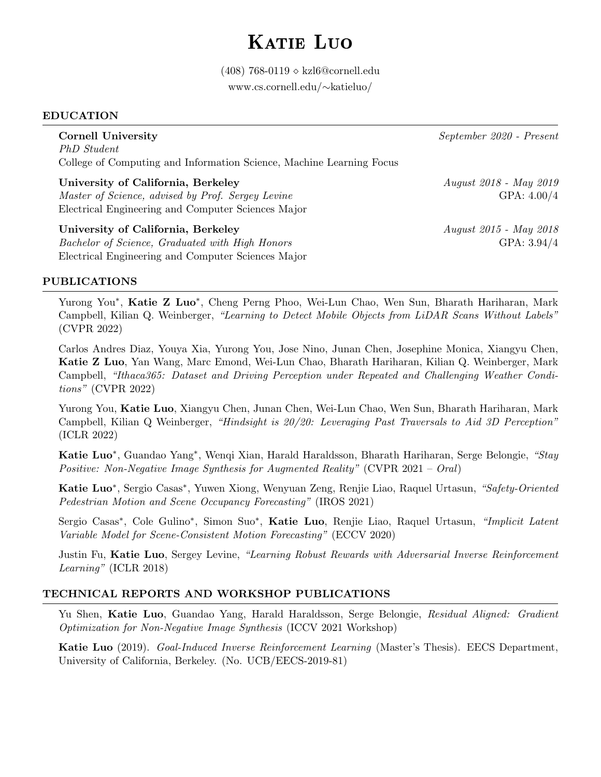## KATIE LUO

(408) 768-0119 ⋄ kzl6@cornell.edu [www.cs.cornell.edu/](https://www.cs.cornell.edu/~katieluo/)∼katieluo/

### EDUCATION

PhD Student College of Computing and Information Science, Machine Learning Focus

University of California, Berkeley August 2018 - May 2019 Master of Science, advised by Prof. Sergey Levine GPA:  $4.00/4$ Electrical Engineering and Computer Sciences Major

University of California, Berkeley August 2015 - May 2018 Bachelor of Science, Graduated with High Honors GPA: 3.94/4 Electrical Engineering and Computer Sciences Major

Cornell University September 2020 - Present

### PUBLICATIONS

Yurong You<sup>\*</sup>, Katie Z Luo<sup>\*</sup>, Cheng Perng Phoo, Wei-Lun Chao, Wen Sun, Bharath Hariharan, Mark Campbell, Kilian Q. Weinberger, "Learning to Detect Mobile Objects from LiDAR Scans Without Labels" (CVPR 2022)

Carlos Andres Diaz, Youya Xia, Yurong You, Jose Nino, Junan Chen, Josephine Monica, Xiangyu Chen, Katie Z Luo, Yan Wang, Marc Emond, Wei-Lun Chao, Bharath Hariharan, Kilian Q. Weinberger, Mark Campbell, "Ithaca365: Dataset and Driving Perception under Repeated and Challenging Weather Conditions" (CVPR 2022)

Yurong You, Katie Luo, Xiangyu Chen, Junan Chen, Wei-Lun Chao, Wen Sun, Bharath Hariharan, Mark Campbell, Kilian Q Weinberger, "Hindsight is 20/20: Leveraging Past Traversals to Aid 3D Perception" (ICLR 2022)

Katie Luo<sup>∗</sup>, Guandao Yang<sup>∗</sup>, Wenqi Xian, Harald Haraldsson, Bharath Hariharan, Serge Belongie, "Stay Positive: Non-Negative Image Synthesis for Augmented Reality" (CVPR 2021 – Oral)

Katie Luo<sup>\*</sup>, Sergio Casas<sup>\*</sup>, Yuwen Xiong, Wenyuan Zeng, Renjie Liao, Raquel Urtasun, "Safety-Oriented Pedestrian Motion and Scene Occupancy Forecasting" (IROS 2021)

Sergio Casas<sup>\*</sup>, Cole Gulino<sup>\*</sup>, Simon Suo<sup>\*</sup>, Katie Luo, Renjie Liao, Raquel Urtasun, "Implicit Latent Variable Model for Scene-Consistent Motion Forecasting" (ECCV 2020)

Justin Fu, Katie Luo, Sergey Levine, "Learning Robust Rewards with Adversarial Inverse Reinforcement Learning" (ICLR 2018)

### TECHNICAL REPORTS AND WORKSHOP PUBLICATIONS

Yu Shen, Katie Luo, Guandao Yang, Harald Haraldsson, Serge Belongie, Residual Aligned: Gradient Optimization for Non-Negative Image Synthesis (ICCV 2021 Workshop)

Katie Luo (2019). Goal-Induced Inverse Reinforcement Learning (Master's Thesis). EECS Department, University of California, Berkeley. (No. UCB/EECS-2019-81)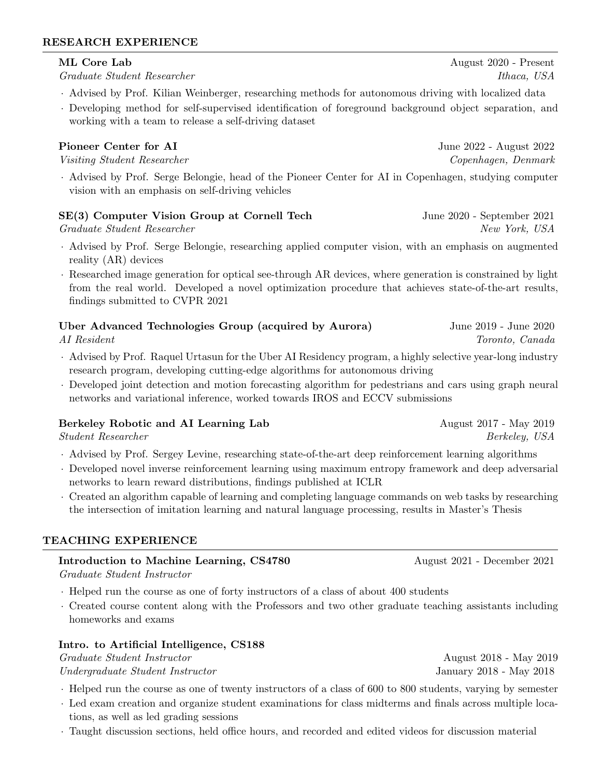### RESEARCH EXPERIENCE

Graduate Student Researcher Theorem 1988 Student Researcher Ithaca, USA

- · Advised by Prof. Kilian Weinberger, researching methods for autonomous driving with localized data
- · Developing method for self-supervised identification of foreground background object separation, and working with a team to release a self-driving dataset

### **Pioneer Center for AI** June 2022 - August 2022

Visiting Student Researcher Copenhagen, Denmark

· Advised by Prof. Serge Belongie, head of the Pioneer Center for AI in Copenhagen, studying computer vision with an emphasis on self-driving vehicles

### SE(3) Computer Vision Group at Cornell Tech June 2020 - September 2021

Graduate Student Researcher New York, USA

- · Advised by Prof. Serge Belongie, researching applied computer vision, with an emphasis on augmented reality (AR) devices
- · Researched image generation for optical see-through AR devices, where generation is constrained by light from the real world. Developed a novel optimization procedure that achieves state-of-the-art results, findings submitted to CVPR 2021

| Uber Advanced Technologies Group (acquired by Aurora) | June 2019 - June 2020 |
|-------------------------------------------------------|-----------------------|
| AI Resident                                           | Toronto, Canada       |

- · Advised by Prof. Raquel Urtasun for the Uber AI Residency program, a highly selective year-long industry research program, developing cutting-edge algorithms for autonomous driving
- · Developed joint detection and motion forecasting algorithm for pedestrians and cars using graph neural networks and variational inference, worked towards IROS and ECCV submissions

### Berkeley Robotic and AI Learning Lab August 2017 - May 2019

Student Researcher Berkeley, USA

- · Advised by Prof. Sergey Levine, researching state-of-the-art deep reinforcement learning algorithms
- · Developed novel inverse reinforcement learning using maximum entropy framework and deep adversarial networks to learn reward distributions, findings published at ICLR
- · Created an algorithm capable of learning and completing language commands on web tasks by researching the intersection of imitation learning and natural language processing, results in Master's Thesis

### TEACHING EXPERIENCE

### Introduction to Machine Learning, CS4780 August 2021 - December 2021

Graduate Student Instructor

- · Helped run the course as one of forty instructors of a class of about 400 students
- · Created course content along with the Professors and two other graduate teaching assistants including homeworks and exams

### Intro. to Artificial Intelligence, CS188

Graduate Student Instructor August 2018 - May 2019 Undergraduate Student Instructor January 2018 - May 2018

- · Helped run the course as one of twenty instructors of a class of 600 to 800 students, varying by semester
- · Led exam creation and organize student examinations for class midterms and finals across multiple locations, as well as led grading sessions
- · Taught discussion sections, held office hours, and recorded and edited videos for discussion material

# ML Core Lab August 2020 - Present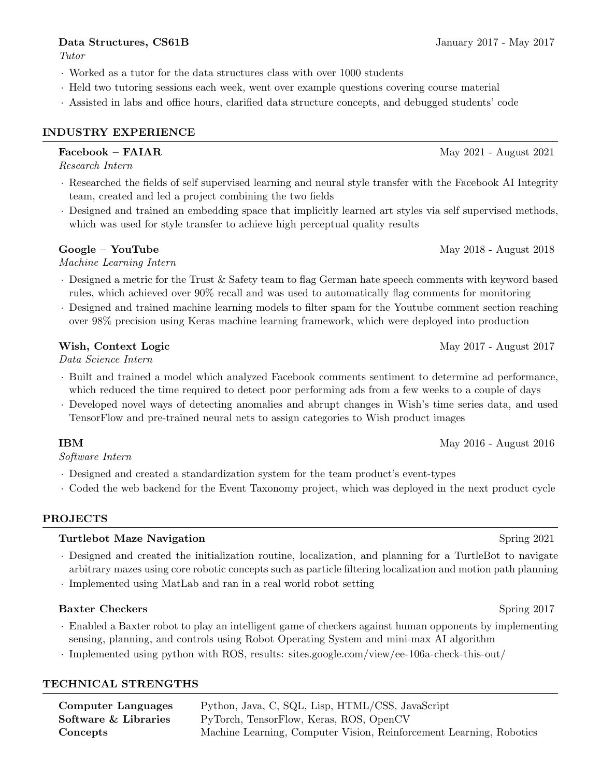## **Data Structures, CS61B** January 2017 - May 2017

Tutor

- · Worked as a tutor for the data structures class with over 1000 students
- · Held two tutoring sessions each week, went over example questions covering course material
- · Assisted in labs and office hours, clarified data structure concepts, and debugged students' code

## INDUSTRY EXPERIENCE

Research Intern

- · Researched the fields of self supervised learning and neural style transfer with the Facebook AI Integrity team, created and led a project combining the two fields
- · Designed and trained an embedding space that implicitly learned art styles via self supervised methods, which was used for style transfer to achieve high perceptual quality results

### Google – YouTube May 2018 - August 2018

Machine Learning Intern

- · Designed a metric for the Trust & Safety team to flag German hate speech comments with keyword based rules, which achieved over 90% recall and was used to automatically flag comments for monitoring
- · Designed and trained machine learning models to filter spam for the Youtube comment section reaching over 98% precision using Keras machine learning framework, which were deployed into production

## Wish, Context Logic May 2017 - August 2017

Data Science Intern

- · Built and trained a model which analyzed Facebook comments sentiment to determine ad performance, which reduced the time required to detect poor performing ads from a few weeks to a couple of days
- · Developed novel ways of detecting anomalies and abrupt changes in Wish's time series data, and used TensorFlow and pre-trained neural nets to assign categories to Wish product images

 $\text{IBM}$  May 2016 - August 2016

Software Intern

- · Designed and created a standardization system for the team product's event-types
- · Coded the web backend for the Event Taxonomy project, which was deployed in the next product cycle

### PROJECTS

### Turtlebot Maze Navigation Spring 2021

- · Designed and created the initialization routine, localization, and planning for a TurtleBot to navigate arbitrary mazes using core robotic concepts such as particle filtering localization and motion path planning
- · Implemented using MatLab and ran in a real world robot setting

### Baxter Checkers Spring 2017

- · Enabled a Baxter robot to play an intelligent game of checkers against human opponents by implementing sensing, planning, and controls using Robot Operating System and mini-max AI algorithm
- · Implemented using python with ROS, results: <sites.google.com/view/ee-106a-check-this-out/>

### TECHNICAL STRENGTHS

| Computer Languages   | Python, Java, C, SQL, Lisp, HTML/CSS, JavaScript                    |
|----------------------|---------------------------------------------------------------------|
| Software & Libraries | PyTorch, TensorFlow, Keras, ROS, OpenCV                             |
| Concepts             | Machine Learning, Computer Vision, Reinforcement Learning, Robotics |

 **May 2021 - August 2021**